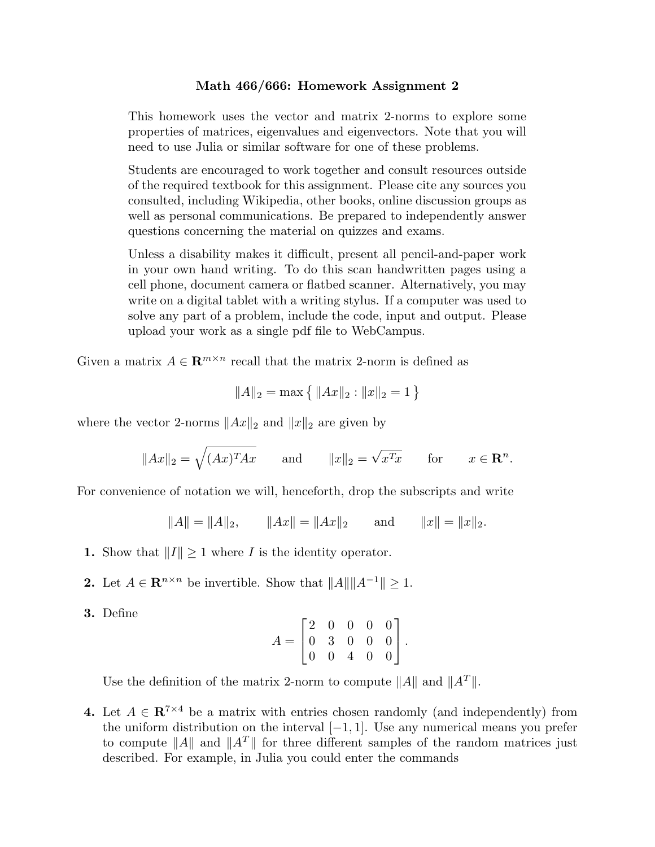## Math 466/666: Homework Assignment 2

This homework uses the vector and matrix 2-norms to explore some properties of matrices, eigenvalues and eigenvectors. Note that you will need to use Julia or similar software for one of these problems.

Students are encouraged to work together and consult resources outside of the required textbook for this assignment. Please cite any sources you consulted, including Wikipedia, other books, online discussion groups as well as personal communications. Be prepared to independently answer questions concerning the material on quizzes and exams.

Unless a disability makes it difficult, present all pencil-and-paper work in your own hand writing. To do this scan handwritten pages using a cell phone, document camera or flatbed scanner. Alternatively, you may write on a digital tablet with a writing stylus. If a computer was used to solve any part of a problem, include the code, input and output. Please upload your work as a single pdf file to WebCampus.

Given a matrix  $A \in \mathbb{R}^{m \times n}$  recall that the matrix 2-norm is defined as

$$
||A||_2 = \max\left\{ ||Ax||_2 : ||x||_2 = 1 \right\}
$$

where the vector 2-norms  $||Ax||_2$  and  $||x||_2$  are given by

$$
||Ax||_2 = \sqrt{(Ax)^T Ax}
$$
 and  $||x||_2 = \sqrt{x^T x}$  for  $x \in \mathbb{R}^n$ .

For convenience of notation we will, henceforth, drop the subscripts and write

 $||A|| = ||A||_2$ ,  $||Ax|| = ||Ax||_2$  and  $||x|| = ||x||_2$ .

- 1. Show that  $||I|| \geq 1$  where I is the identity operator.
- 2. Let  $A \in \mathbb{R}^{n \times n}$  be invertible. Show that  $||A|| ||A^{-1}|| \geq 1$ .
- 3. Define

$$
A = \begin{bmatrix} 2 & 0 & 0 & 0 & 0 \\ 0 & 3 & 0 & 0 & 0 \\ 0 & 0 & 4 & 0 & 0 \end{bmatrix}.
$$

Use the definition of the matrix 2-norm to compute  $||A||$  and  $||A^T||$ .

4. Let  $A \in \mathbb{R}^{7 \times 4}$  be a matrix with entries chosen randomly (and independently) from the uniform distribution on the interval  $[-1, 1]$ . Use any numerical means you prefer to compute  $||A||$  and  $||A^T||$  for three different samples of the random matrices just described. For example, in Julia you could enter the commands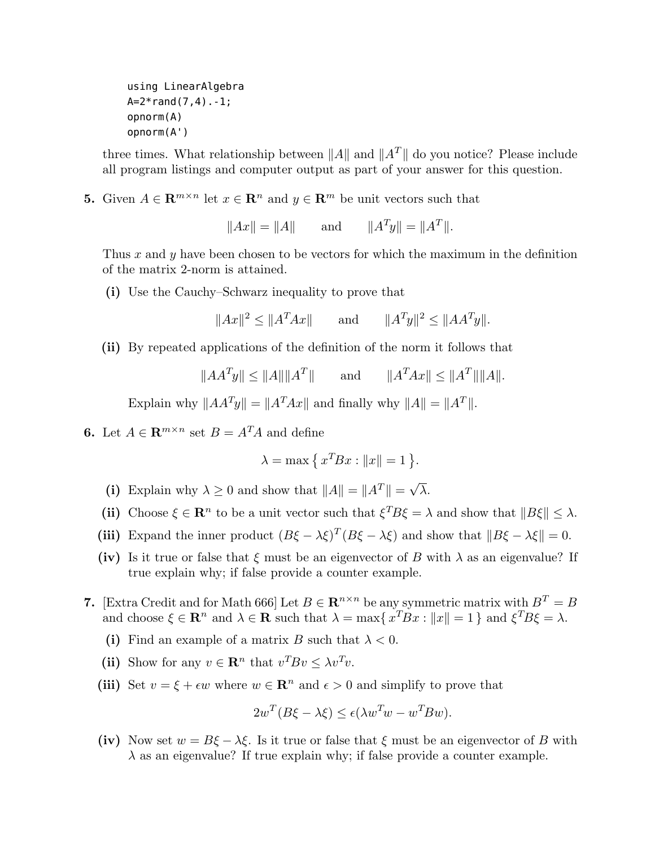using LinearAlgebra  $A=2*rand(7, 4) - 1;$ opnorm(A) opnorm(A')

three times. What relationship between  $||A||$  and  $||A||$  do you notice? Please include all program listings and computer output as part of your answer for this question.

5. Given  $A \in \mathbb{R}^{m \times n}$  let  $x \in \mathbb{R}^n$  and  $y \in \mathbb{R}^m$  be unit vectors such that

 $||Ax|| = ||A||$  and  $||A^T y|| = ||A^T||.$ 

Thus  $x$  and  $y$  have been chosen to be vectors for which the maximum in the definition of the matrix 2-norm is attained.

(i) Use the Cauchy–Schwarz inequality to prove that

$$
||Ax||^2 \le ||A^T Ax||
$$
 and  $||A^T y||^2 \le ||AA^T y||$ .

(ii) By repeated applications of the definition of the norm it follows that

$$
||AA^T y|| \le ||A|| ||A^T|| \quad \text{and} \quad ||A^T Ax|| \le ||A^T|| ||A||.
$$

Explain why  $||AA^T y|| = ||A^T Ax||$  and finally why  $||A|| = ||A^T||$ .

**6.** Let  $A \in \mathbb{R}^{m \times n}$  set  $B = A^T A$  and define

$$
\lambda = \max\left\{ x^T B x : ||x|| = 1 \right\}.
$$

- (i) Explain why  $\lambda \ge 0$  and show that  $||A|| = ||A^T|| = \sqrt{\lambda}$ .
- (ii) Choose  $\xi \in \mathbb{R}^n$  to be a unit vector such that  $\xi^T B \xi = \lambda$  and show that  $||B\xi|| \leq \lambda$ .
- (iii) Expand the inner product  $(B\xi \lambda \xi)^T (B\xi \lambda \xi)$  and show that  $||B\xi \lambda \xi|| = 0$ .
- (iv) Is it true or false that  $\xi$  must be an eigenvector of B with  $\lambda$  as an eigenvalue? If true explain why; if false provide a counter example.
- 7. [Extra Credit and for Math 666] Let  $B \in \mathbb{R}^{n \times n}$  be any symmetric matrix with  $B^T = B$ and choose  $\xi \in \mathbb{R}^n$  and  $\lambda \in \mathbb{R}$  such that  $\lambda = \max\{x^T B x : ||x|| = 1\}$  and  $\xi^T B \xi = \lambda$ .
	- (i) Find an example of a matrix B such that  $\lambda < 0$ .
	- (ii) Show for any  $v \in \mathbb{R}^n$  that  $v^T B v \leq \lambda v^T v$ .
	- (iii) Set  $v = \xi + \epsilon w$  where  $w \in \mathbb{R}^n$  and  $\epsilon > 0$  and simplify to prove that

$$
2w^{T}(B\xi - \lambda \xi) \le \epsilon(\lambda w^{T}w - w^{T}Bw).
$$

(iv) Now set  $w = B\xi - \lambda \xi$ . Is it true or false that  $\xi$  must be an eigenvector of B with  $\lambda$  as an eigenvalue? If true explain why; if false provide a counter example.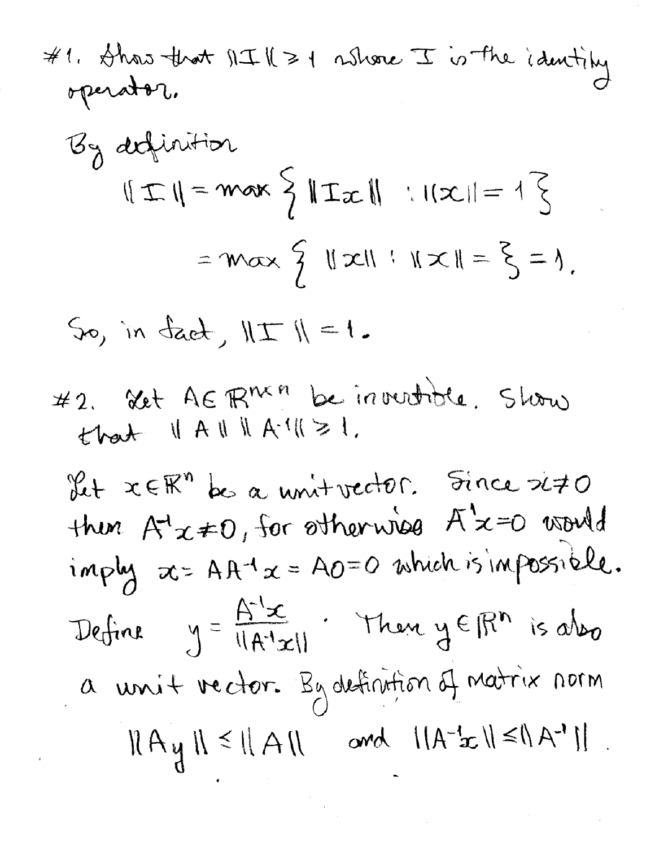# 1. 
$$
\frac{1}{2}
$$
 that  $||I|| \ge 1$  *is* the identity operator.

\n $G_{\theta}$  definition

\n $||I|| = \max \{ ||I|| : ||x|| = 1 \}$ 

\n $= \max \{ ||x|| : ||x|| = 1 \}$ 

\n $= \max \{ ||x|| : ||x|| = \}$ 

So, in fact,  $||\pm||=1$ .

#2. Xet AER<sup>nkn</sup> be innuutide. Slow  
that 
$$
||A|| ||A^{-1}|| \ge 1
$$
.

Let  $x \in \mathbb{R}^n$  be a unit vector. Since 240 then  $A^1x \ne 0$ , for otherwise  $A^1x=0$  usuid<br>imply  $x = AA^{-1}x = A0=0$  which is impossible. Define  $y = \frac{A^{-1}x}{||A^{-1}x||}$ . Then  $y \in \mathbb{R}^n$  is also a unit vector. By definition of matrix norm  $||A_{\mathcal{Y}}|| \leq ||A|| \text{ and } ||A^{-1}x|| \leq ||A^{-1}||.$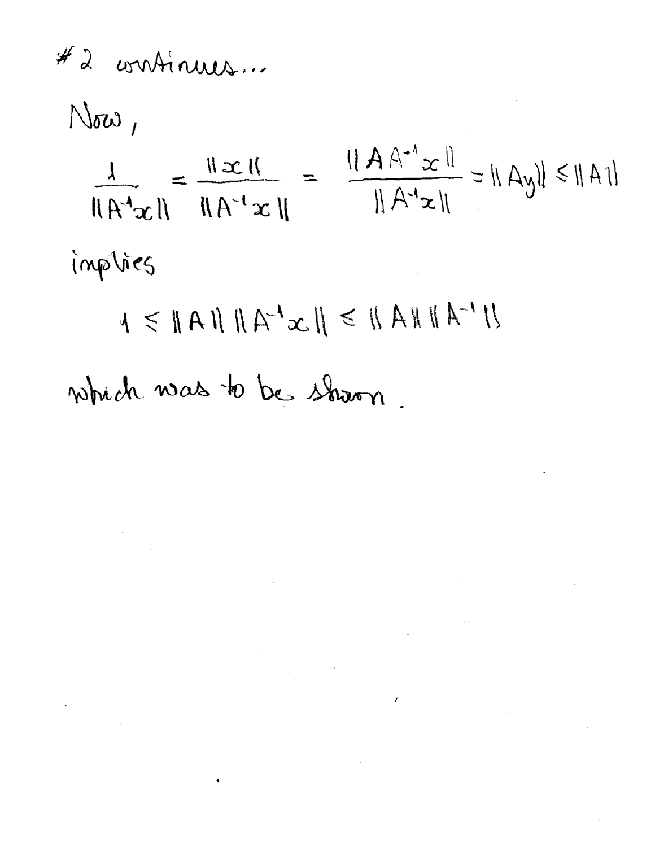#2 continues...

 $N_{\rm tot}$  $\frac{1}{\|A'^4 \alpha\|} = \frac{\|x\|}{\|A'^4 x\|} = \frac{\|A A'^4 x\|}{\|A'^4 x\|} = \|Ay\| \le \|A\|$ implies which was to be shown.

 $\mathcal{L}^{\text{max}}_{\text{max}}$  , where  $\mathcal{L}^{\text{max}}_{\text{max}}$ 

 $\mathcal{L}^{\text{max}}$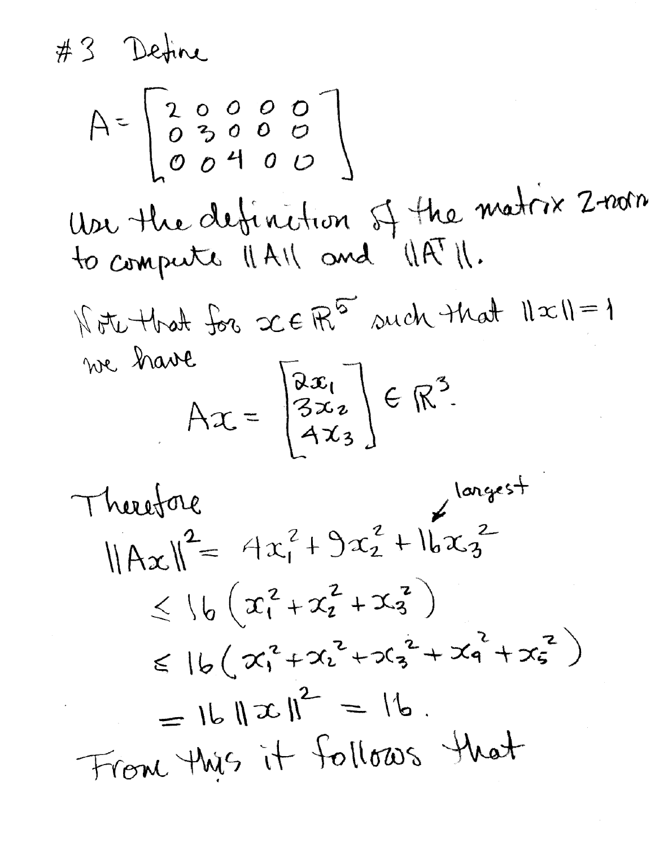#3 Detine

$$
A = \begin{bmatrix} 2 & 0 & 0 & 0 & 0 \\ 0 & 3 & 0 & 0 & 0 \\ 0 & 0 & 4 & 0 & 0 \end{bmatrix}
$$
  
Uor the definition of the matrix 2-notro  
to compute  $||A||$  and  $||A||$ .  

$$
|\nabla u + \nabla u| = 1
$$
  
we have  

$$
Ax = \begin{bmatrix} ax_1 \\ 3x_2 \\ Ax_3 \end{bmatrix} \in \mathbb{R}^3
$$
.

Therefore

\n
$$
\|Ax\|^{2} = 4x_{1}^{2} + 9x_{2}^{2} + 16x_{3}^{2}
$$
\n
$$
\leq 16 (x_{1}^{2} + x_{2}^{2} + x_{3}^{2})
$$
\n
$$
\leq 16 (x_{1}^{2} + x_{2}^{2} + x_{3}^{2} + x_{4}^{2} + x_{5}^{2})
$$
\n
$$
= 16 \|x\|^{2} = 16.
$$
\nFrom this it follows that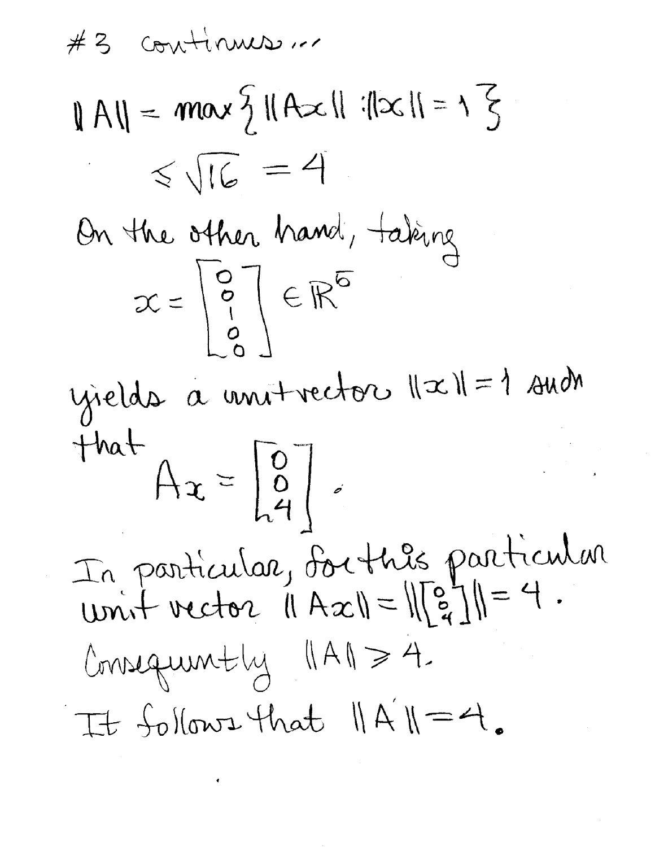continues...  $#3$  $||A|| = max \frac{5}{4} ||Ax||$  : $||x|| = \sqrt{5}$  $<\sqrt{16}$  = 4 On the other hand, taking  $x = \begin{bmatrix} 0 \\ 0 \\ 1 \end{bmatrix} \in \mathbb{R}^{6}$ yields à unitrector  $||x||=1$  such that,  $A_{x} = \begin{bmatrix} 0 \\ 0 \\ 4 \end{bmatrix}$ In particular, sorthis particular Consequently (IAI = 4. It follows that  $||A||=4$ .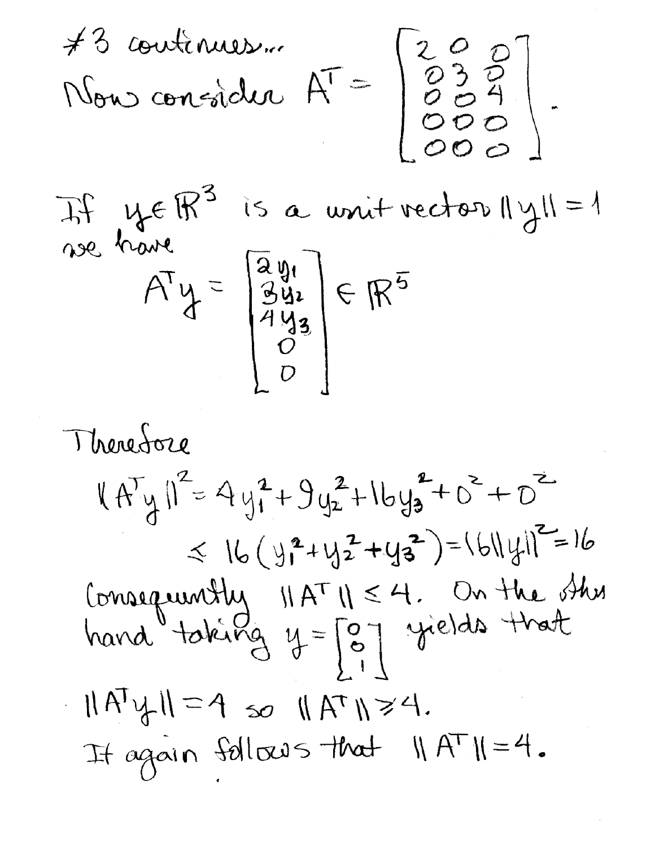#3 continues...<br>Nous consider  $A^T = \begin{bmatrix} 2 & 0 & 0 \\ 0 & 3 & 0 \\ 0 & 0 & 4 \\ 0 & 0 & 0 \end{bmatrix}$ .

If ye R<sup>3</sup> is a unit vector  $\|\gamma\|=1$  $A^T y = \begin{bmatrix} \frac{2y_1}{3y_2} \\ \frac{2y_2}{3y_3} \\ 0 \\ 0 \end{bmatrix} \in \mathbb{R}^{5}$ 

Therefore  $|(A^{T}y)|^2 = 4y_1^2+9y_2^2+1by_3^2+O^2+O^2$  $\leq 16(y_1^2+y_2^2+y_3^2)=161|y_1|^2=16$ Consequently  $||A^T|| \le 4$ . On the other<br>hand taking  $y = \begin{bmatrix} 0 \\ 0 \\ 1 \end{bmatrix}$  yields that  $||A^{\prime}y||=4$  so  $||A^{\prime\prime}||\geq 4$ . It again follows that  $MATM=4$ .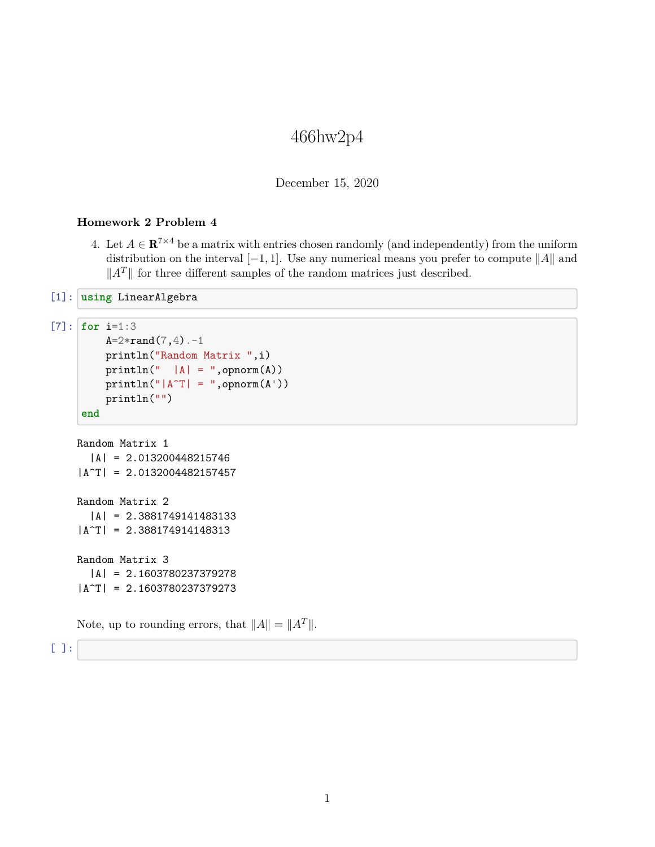## 466hw2p4

December 15, 2020

## **Homework 2 Problem 4**

4. Let  $A \in \mathbb{R}^{7 \times 4}$  be a matrix with entries chosen randomly (and independently) from the uniform distribution on the interval  $[-1, 1]$ . Use any numerical means you prefer to compute  $||A||$  and  $||A^T||$  for three different samples of the random matrices just described.

```
[1]: using LinearAlgebra
```

```
[7]: for i=1:3
```

```
A = 2*rand(7, 4).-1
    println("Random Matrix ",i)
    printhn(" |A| = ",opnorm(A))println("|A^T| = ",opnorm(A^+))println("")
end
```

```
Random Matrix 1
  |A| = 2.013200448215746
|A^T| = 2.0132004482157457
Random Matrix 2
  |A| = 2.3881749141483133
|A^T| = 2.388174914148313
Random Matrix 3
  |A| = 2.1603780237379278
|A^T| = 2.1603780237379273
```
Note, up to rounding errors, that  $||A|| = ||A^T||$ .

[ ]: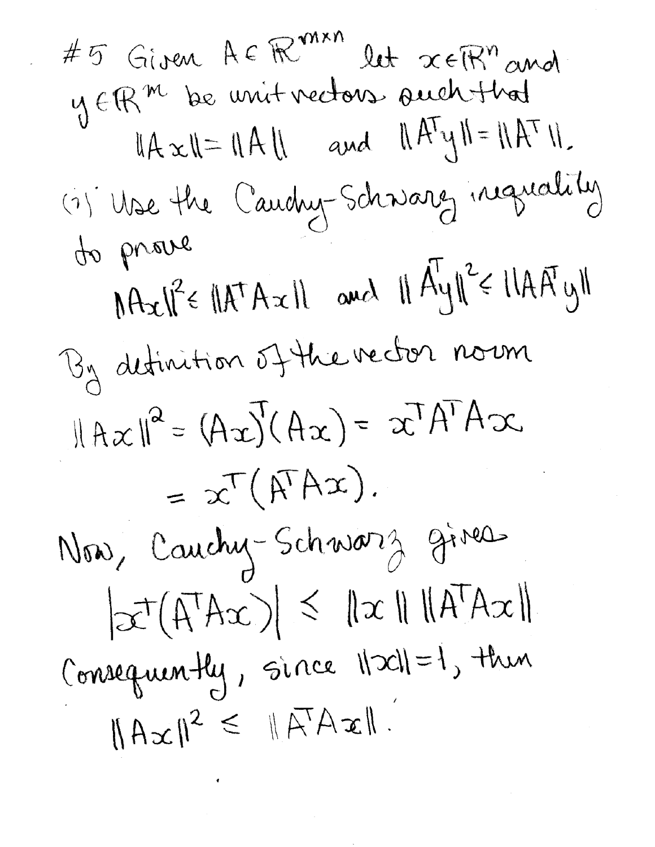#5 Given A E R<sup>varn</sup> let x ER" and  $||A \times || = ||A|| \quad \text{and} \quad ||A^T y|| = ||A^T ||.$ (1) Use the Cauchy-Schwarez inguality to prove  $MAx||^2 \in |AA^{\dagger}Ax||$  and  $||A^{\dagger}y||^2 \in ||AA^{\dagger}y||$ By detinition of the rector norm  $||Ax||^2 = (Ax)'(Ax) = x^T A^T Ax$ =  $x^T(\hat{A}^T A x)$ . Now, Cauchy-Schwarz gives  $|\mathcal{X}^{\dagger}(A^{\dagger}Ax)| \leq ||x|| ||A^{\dagger}Ax||$ Consequently, since Nach=1, then  $||Ax||^2 \le ||A^T Ax||$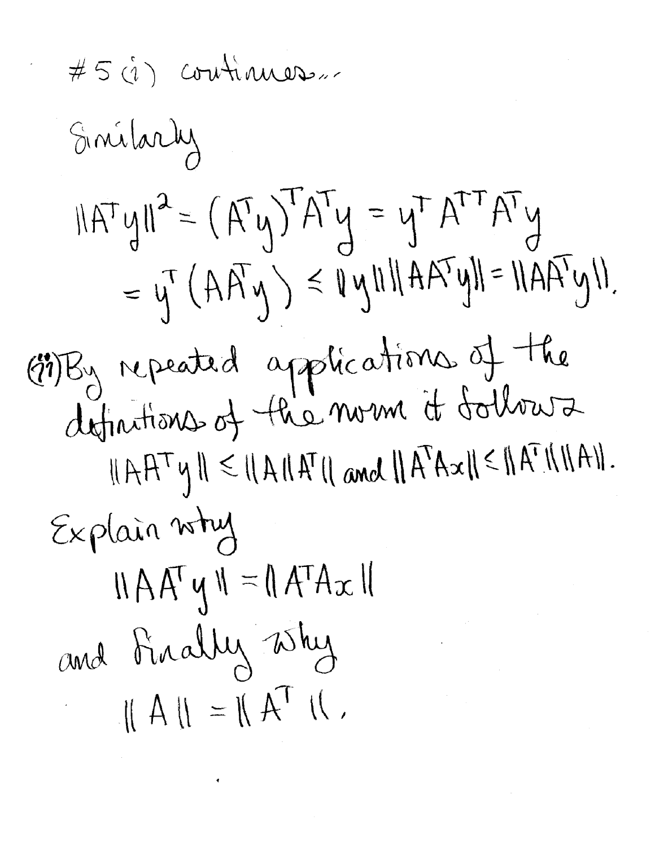$$
\#5 \text{ (a)} \text{ continuous}
$$
\n
$$
\{\text{initial}\}
$$
\n
$$
\|\text{AT} \text{ y}\|^2 = (\text{AT} \text{ y})^T \text{AT} \text{ y} = \text{ y}^T \text{ AT}^T \text{AY}
$$
\n
$$
= \text{ y}^T (\text{AT} \text{ y}) \le \text{ y} \text{ will} \text{A} \text{AT} \text{ y} \text{II} = \text{U} \text{AT} \text{ Y} \text{ y} \text{II}.
$$
\n
$$
\{\text{all}\}
$$
\n
$$
\{\text{in}\}
$$
\n
$$
\{\text{in}\}
$$
\n
$$
\{\text{in}\}
$$
\n
$$
\{\text{in}\}
$$
\n
$$
\{\text{in}\}
$$
\n
$$
\{\text{in}\}
$$
\n
$$
\{\text{in}\}
$$
\n
$$
\{\text{in}\}
$$
\n
$$
\{\text{in}\}
$$
\n
$$
\{\text{in}\}
$$
\n
$$
\{\text{in}\}
$$
\n
$$
\{\text{in}\}
$$
\n
$$
\{\text{in}\}
$$
\n
$$
\{\text{in}\}
$$
\n
$$
\{\text{in}\}
$$
\n
$$
\{\text{in}\}
$$
\n
$$
\{\text{in}\}
$$
\n
$$
\{\text{in}\}
$$
\n
$$
\{\text{in}\}
$$
\n
$$
\{\text{in}\}
$$
\n
$$
\{\text{in}\}
$$
\n
$$
\{\text{in}\}
$$
\n
$$
\{\text{in}\}
$$
\n
$$
\{\text{in}\}
$$
\n
$$
\{\text{in}\}
$$
\n
$$
\{\text{in}\}
$$
\n
$$
\{\text{in}\}
$$
\n
$$
\{\text{in}\}
$$
\n
$$
\{\text{in}\}
$$
\n
$$
\{\text{in}\}
$$
\n
$$
\{\text{in}\}
$$
\n
$$
\{\text{in}\}
$$
\n
$$
\{\text{in}\}
$$
\n
$$
\{\text{in}\}
$$
\n
$$
\{\text{in}\}
$$
\n
$$
\{\text{in}\}
$$
\n
$$
\{\text{in}\}
$$
\n
$$
\{\text
$$

 $\sim 10^{-10}$ 

 $\epsilon$  .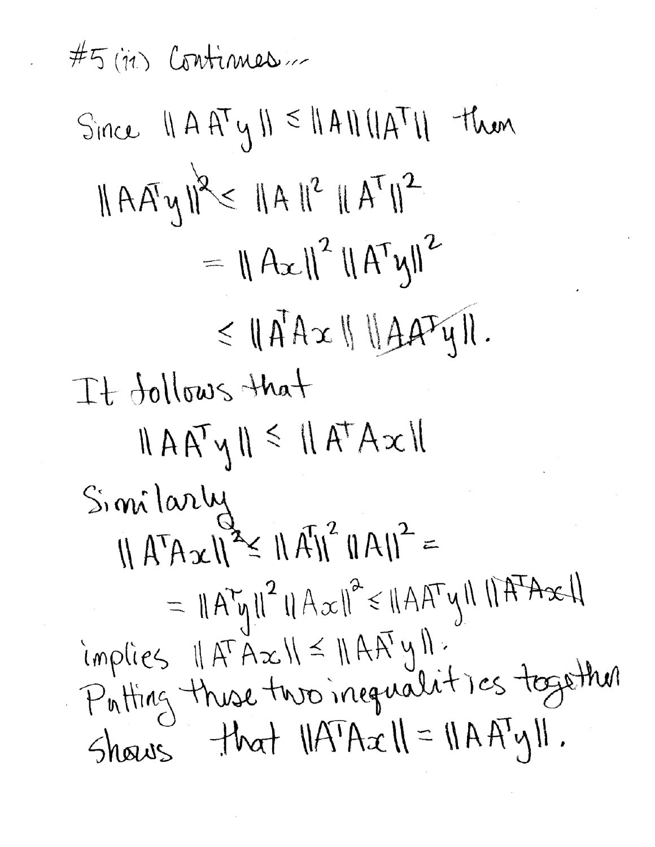$#5$  (in) Continues ... Since  $||A A^T y|| \le ||A || ||A^T||$  then  $||A A y||^{2} \le ||A||^{2} ||A^{T}||^{2}$  $= \|A_{x}\|^{2} \|A^{T}y\|^{2}$  $\leq$   $\|\vec{A}A\alpha\|\|\vec{A}A^T\psi\|.$ It follows that  $||A A^{\mathsf{T}} \psi|| \leq ||A^{\mathsf{T}} A \chi||$ Similarly  $\|A^T Ax\|^{\alpha} \leq \|A^T\|^2 \|A\|^2$  $= ||A^{\tau}y||^2 ||A^{\tau}x||^2 \le ||A A^{\tau}y|| ||A^{\tau}Ax||$ implies II AT Ax II = II AAT y II.<br>Putting thuse two inequalities together Shows that  $||A^T A x|| = ||A A^T y||$ .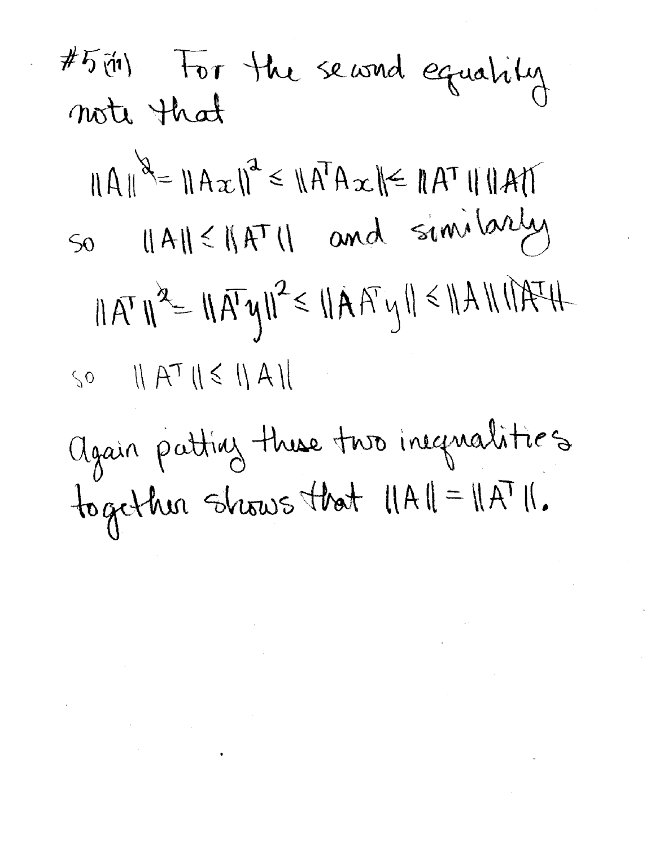#5 (11) For the seasond equality<br>note that  $||A||^2 = ||Ax||^2 \le ||A^T Ax|| \le ||A^T|| ||A||$ So 11A11<11AT11 and similarly  $||A^T||^2 = ||A^T y||^2 \le ||A A^T y|| \le ||A|| ||A^T H$  $\text{SO} \quad || A^{\top} || \le || A ||$ Again patting these two inequalities together shows that  $||A|| = ||A||$ .

 $\label{eq:2.1} \mathcal{L}(\mathcal{L}^{\mathcal{L}}_{\mathcal{L}}(\mathcal{L}^{\mathcal{L}}_{\mathcal{L}})) \leq \mathcal{L}(\mathcal{L}^{\mathcal{L}}_{\mathcal{L}}(\mathcal{L}^{\mathcal{L}}_{\mathcal{L}}))$ 

 $\mathcal{L}(\mathcal{L}^{\mathcal{L}})$  and  $\mathcal{L}^{\mathcal{L}}$  are  $\mathcal{L}^{\mathcal{L}}$  . The contribution of  $\mathcal{L}^{\mathcal{L}}$ 

 $\label{eq:2.1} \frac{1}{\sqrt{2\pi}}\int_{0}^{\infty}\frac{1}{\sqrt{2\pi}}\left(\frac{1}{\sqrt{2\pi}}\right)^{2\alpha} \frac{1}{\sqrt{2\pi}}\int_{0}^{\infty}\frac{1}{\sqrt{2\pi}}\left(\frac{1}{\sqrt{2\pi}}\right)^{\alpha} \frac{1}{\sqrt{2\pi}}\frac{1}{\sqrt{2\pi}}\int_{0}^{\infty}\frac{1}{\sqrt{2\pi}}\frac{1}{\sqrt{2\pi}}\frac{1}{\sqrt{2\pi}}\frac{1}{\sqrt{2\pi}}\frac{1}{\sqrt{2\pi}}\frac{1}{\sqrt{2\$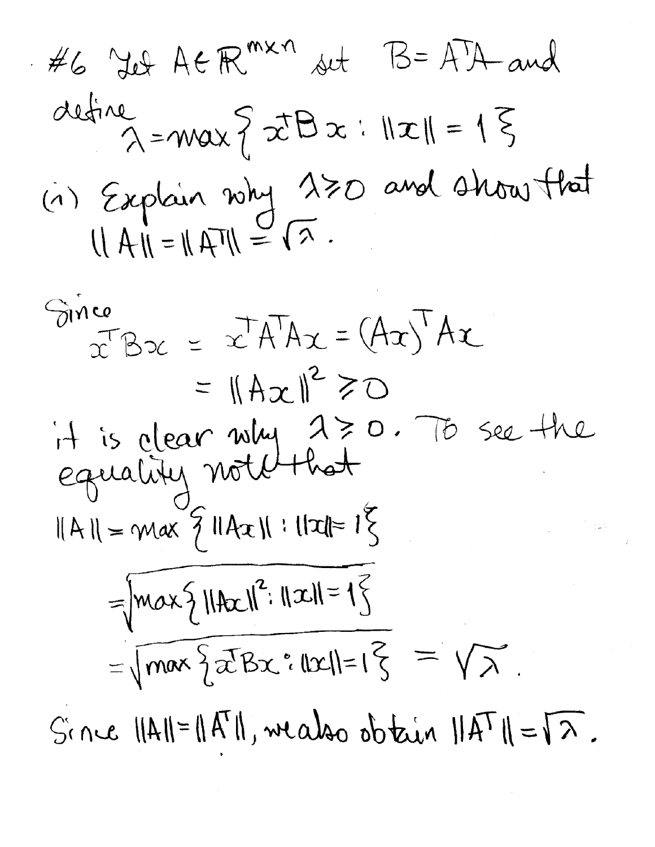#6 Yd A
$$
\in \mathbb{R}^{m \times n}
$$
 *st* B= A'A and  
define  $\lambda = max \{ \vec{x}B\vec{x} : ||\vec{x}|| = 1 \}$   
(i) Explain why 130 and 4 hours that  
 $||A|| = ||A|| = \sqrt{2}$ .

Since  
\n
$$
x^T Bx = x^T A^T Ax = (Ax)^T Ax
$$
  
\n $= ||Ax||^2 \ge 0$   
\n $\therefore$   $\therefore$   $\therefore$   $\therefore$   $\therefore$   $\therefore$   $\therefore$   $\therefore$   $\therefore$   $\therefore$   $\therefore$   $\therefore$   $\therefore$   $\therefore$   $\therefore$   $\therefore$   $\therefore$   $\therefore$   $\therefore$   $\therefore$   $\therefore$   $\therefore$   $\therefore$   $\therefore$   $\therefore$   $\therefore$   $\therefore$   $\therefore$   $\therefore$   $\therefore$   $\therefore$   $\therefore$   $\therefore$   $\therefore$   $\therefore$   $\therefore$   $\therefore$   $\therefore$   $\therefore$   $\therefore$   $\therefore$   $\therefore$   $\therefore$   $\therefore$   $\therefore$   $\therefore$   $\therefore$   $\therefore$   $\therefore$   $\therefore$   $\therefore$   $\therefore$   $\therefore$   $\therefore$   $\therefore$   $\therefore$   $\therefore$   $\therefore$   $\therefore$   $\therefore$   $\therefore$   $\therefore$   $\therefore$   $\therefore$   $\therefore$   $\therefore$   $\therefore$   $\therefore$   $\therefore$   $\therefore$   $\therefore$   $\therefore$   $\therefore$   $\therefore$   $\therefore$   $\therefore$   $\therefore$   $\therefore$   $\therefore$   $\therefore$   $\therefore$   $\therefore$   $\therefore$   $\therefore$   $\therefore$   $\therefore$   $\therefore$   $\therefore$   $\therefore$   $\there$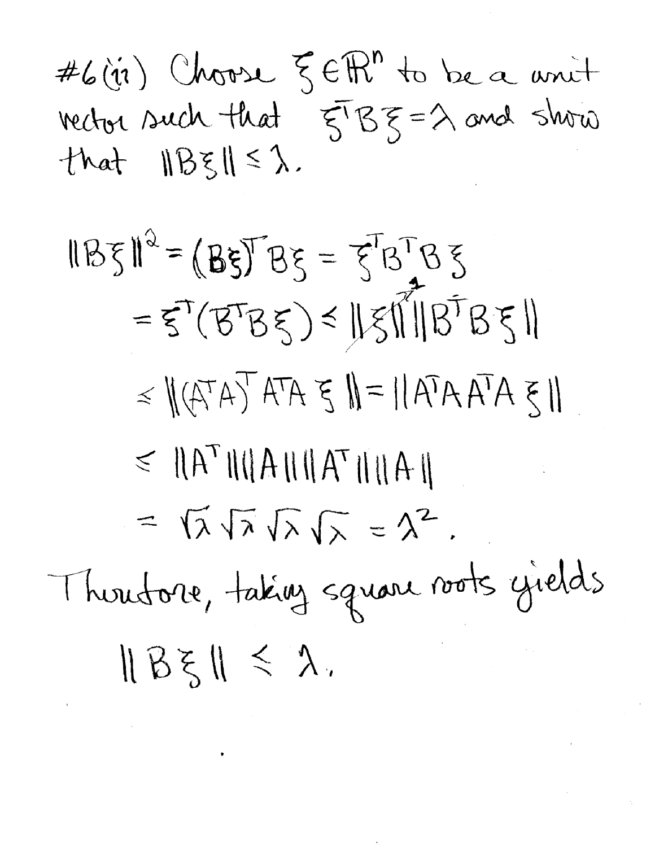#6(ii) Choose  $\xi \in \mathbb{R}^n$  to be a unit vector such that  $\xi^{T} \xi \xi = \lambda$  and show that  $\|B\xi\| \leq \lambda$ .

 $IB5I^2 = (B5)^T B5 = 5^T B^T B5$  $=5^{\circ} (B^{T}B5) \leq ||5|| ||B^{T}B5||$  $\leq \|(A^{T}A)^{T}A^{T}A \leq \|= \|A^{T}A A^{T}A \leq \|$  $\leq \|\boldsymbol{A}^{\mathsf{T}}\|\|\boldsymbol{A}\|\|\boldsymbol{A}^{\mathsf{T}}\|\|\boldsymbol{A}\|$ =  $\sqrt{\lambda} \sqrt{\lambda} \sqrt{\lambda} = \lambda^2$ . Thoutore, taking square roots gields  $||B\xi|| \leq \lambda$ .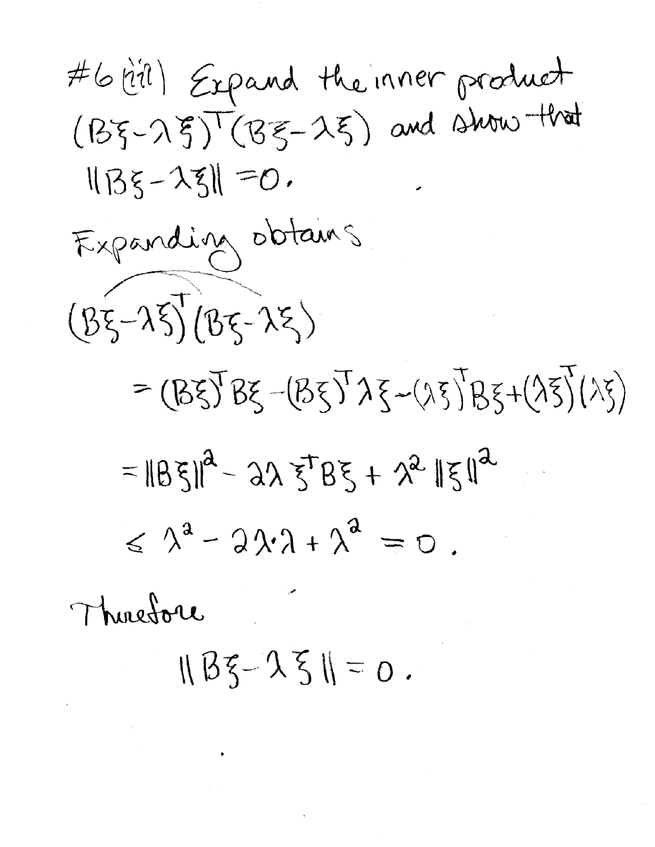#6 (til) Expand the inner product  $(B\xi-\lambda \xi)^\top(B\xi-\lambda \xi)$  and show that  $||B\xi - \lambda \xi|| = 0$ . Expanding obtains  $(85 - 25)(85 - 25)$ =  $(B\xi)B\xi - (B\xi)^T\lambda \xi - (\lambda \xi)B\xi + (\lambda \xi)(\lambda \xi)$  $=||B\xi||^2 - 2\lambda \xi^T B\xi + \lambda^2 \| \xi \|^2$  $\leq \lambda^2 - 2\lambda \cdot \lambda + \lambda^2 = 0$ .

Thuesdore

 $||B\xi - \lambda \xi|| = 0$ .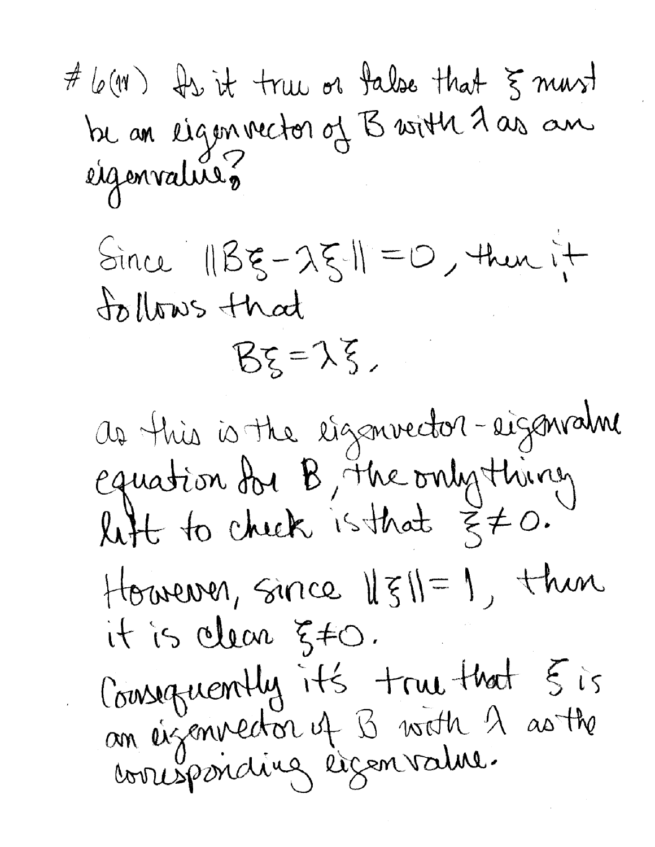# 6 (M) Is it true or false that 5 mars<br>be an eigenvector of B with 7 as an<br>eigenvalures

 $Sincz$   $||Bz - \lambda \xi|| = 0$ , then it tollows that

 $B\xi = \lambda \xi$ ,

as this is the eigenvector-eigenvalue equation du B, The only thing However, since  $||\xi||=1$ , then it is clear 5#0. Cousequently it's true that 5 is<br>an eigenvector of B with A as the<br>cousposicing eigenvalue.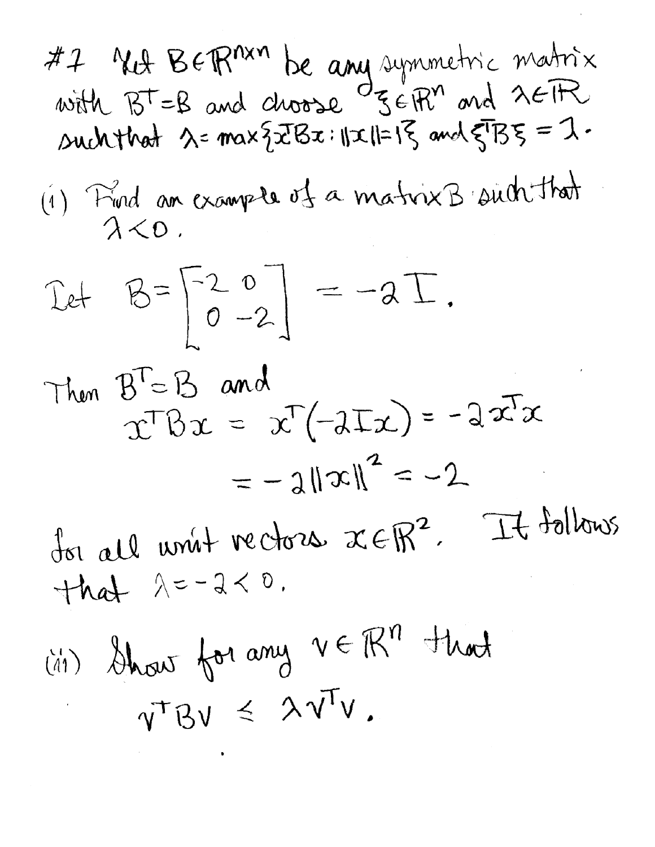#7 NA BERMAN be any symmetric matrix<br>with  $B^T=B$  and choose  $\sigma_{\mathcal{S} \in \mathbb{R}^n}$  and  $\lambda \in \mathbb{R}$ such that  $\lambda$ = max {  $zTBx$  :  $||x||=1$ } and  $\xi^{T}B\xi = 1$ . (1) Find an example of a matrix B such that  $\lambda < 0$ .

$$
\text{Let} \quad B = \begin{bmatrix} 2 & 0 \\ 0 & -2 \end{bmatrix} = -2 \text{ } \overline{1}.
$$

Then 
$$
B^T = B
$$
 and  $x^T(-2Tx) = -2x^Tx$   
\n $= -2||x||^2 = -2$   
\n $= -2||x||^2 = -2$ 

dor all unit rectors xEtt.  $+hd$   $\lambda=-2<0$ .

(41) Show for any  $v \in \mathbb{R}^n$  that  $v^{\dagger}Bu \leq \lambda v^{\dagger}v.$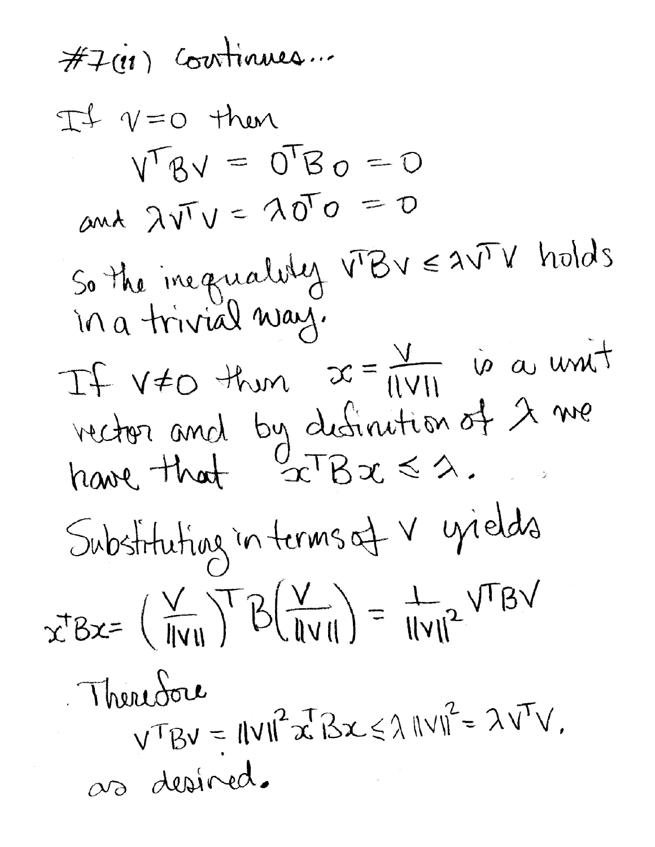$\#I$ (11) Continues ...  $Tf$   $\gamma=0$  then  $V^{\top}BV = O^{\top}Bo = O$ and  $\lambda\sqrt{1}V = \lambda\sqrt{1}O = O$ So the ineguality VBV EAVIV holds in a trivial way. If  $v \neq 0$  then  $x = \frac{v}{1|v|_1}$  is a unit vector and by definition of  $\lambda$  we<br>have that  $\frac{0}{2}$ TBx  $\leq \lambda$ . Substituting in terms of V yields  $x^{T}Bx = (\frac{V}{\|V\|})^{T}B(\frac{V}{\|V\|}) = \frac{1}{\|V\|^{2}}V^{T}BY$ Therefore  $V^{\top}BV = IIVII^{2}x^{T}Bx \leq \lambda IVVI^{2} = \lambda V^{T}V.$ 00 desired.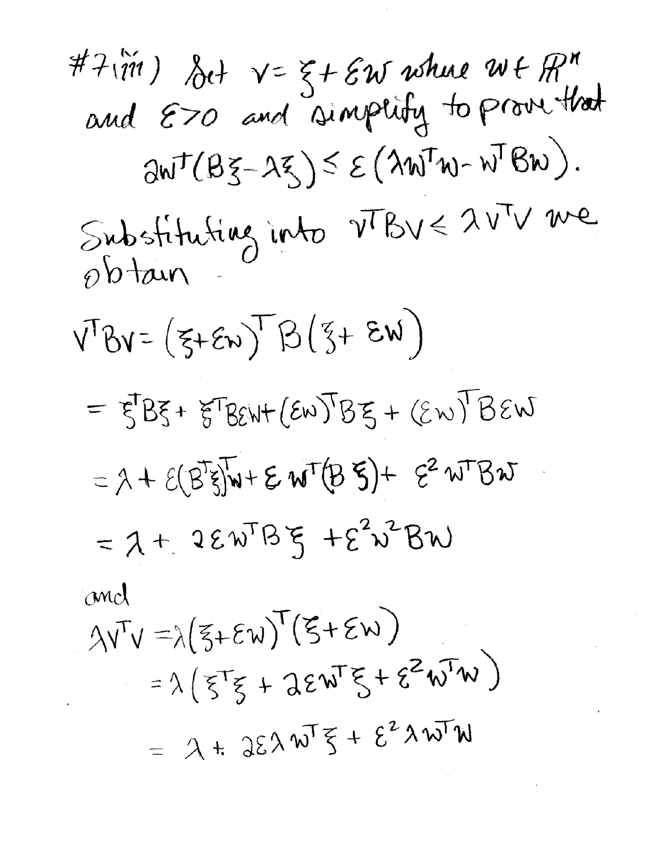#7 $(\tilde{m})$  foot  $v = \xi + \varepsilon w$  where  $w \in \mathbb{R}^n$ <br>and  $\varepsilon > 0$  and simplify to prove that  $\partial W^{\dagger}(B\xi-\lambda\xi)\leq \mathcal{E}(\lambda W^{\dagger}W-W^{\dagger}BW).$ Substituting into  $v^{T}Bv \leq 2v^{T}v$  we<br>obtain  $V^{T}Bv = (\xi + \epsilon_{w})^{T}B(\xi + \epsilon_{w})$  $=$   $\xi$ B $\xi$ + $\xi$ T $B$  $\varepsilon$ W+ $(\varepsilon \omega)$ T $B$  $\xi$  +  $(\varepsilon \omega)$ T $B$  $\varepsilon \omega$  $= \lambda + \mathcal{E}(B^T S)W + \mathcal{E} W^T (B S) + \mathcal{E}^2 W^T B W$  $=$  2 + 2  $\epsilon$  w<sup>T</sup>B  $\xi$  +  $\epsilon^2$  w<sup>2</sup> BW and  $\lambda V^T V = \lambda (5 + \epsilon W)^T (5 + \epsilon W)$  $= \lambda \left( \xi^T \xi + \lambda \epsilon w^T \xi + \epsilon^2 w^T w \right)$ =  $\lambda$  +  $35\lambda w^{T}\xi + \xi^{2}\lambda w^{T}w$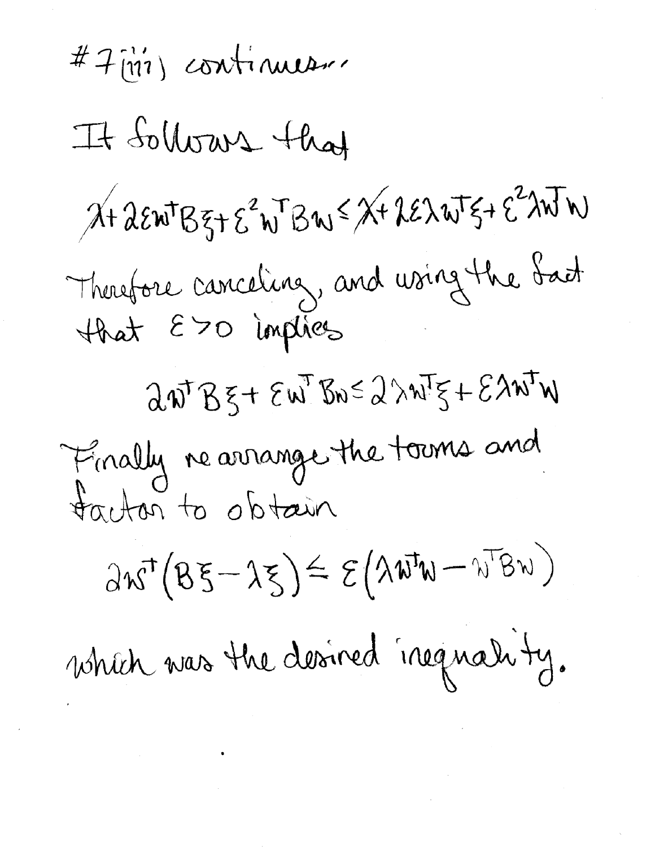#7 [197] continueur It Sollows that  $X + \lambda \epsilon w^{\dagger}B\xi + \epsilon^2 w^{\dagger}Bw \leq X + \lambda \epsilon \lambda w^{\dagger}\xi + \epsilon^2 \lambda w^{\dagger}w$ Therefore canceling, and using the Sact  $\partial \boldsymbol{\psi}^{\mathsf{T}} \boldsymbol{\beta} \boldsymbol{\xi} + \boldsymbol{\xi} \boldsymbol{\psi}^{\mathsf{T}} \boldsymbol{\delta} \boldsymbol{\psi} \boldsymbol{\xi} + \boldsymbol{\xi} \boldsymbol{\lambda} \boldsymbol{\psi}^{\mathsf{T}} \boldsymbol{\psi}$ Finally rearrange the towns and tactor to obtain  $\partial \kappa^{\!\scriptscriptstyle{\text{T}}}(B \xi \!-\! \lambda \xi) \!\leq\! \mathcal{E}\big( \lambda \mathbf{W}^{\!\scriptscriptstyle{\text{T}}}\!\mathbf{W} \!-\! \mathbf{W}^{\!\scriptscriptstyle{\text{T}}}\!\mathsf{B} \mathbf{W} \big)$ which was the desired inequality.